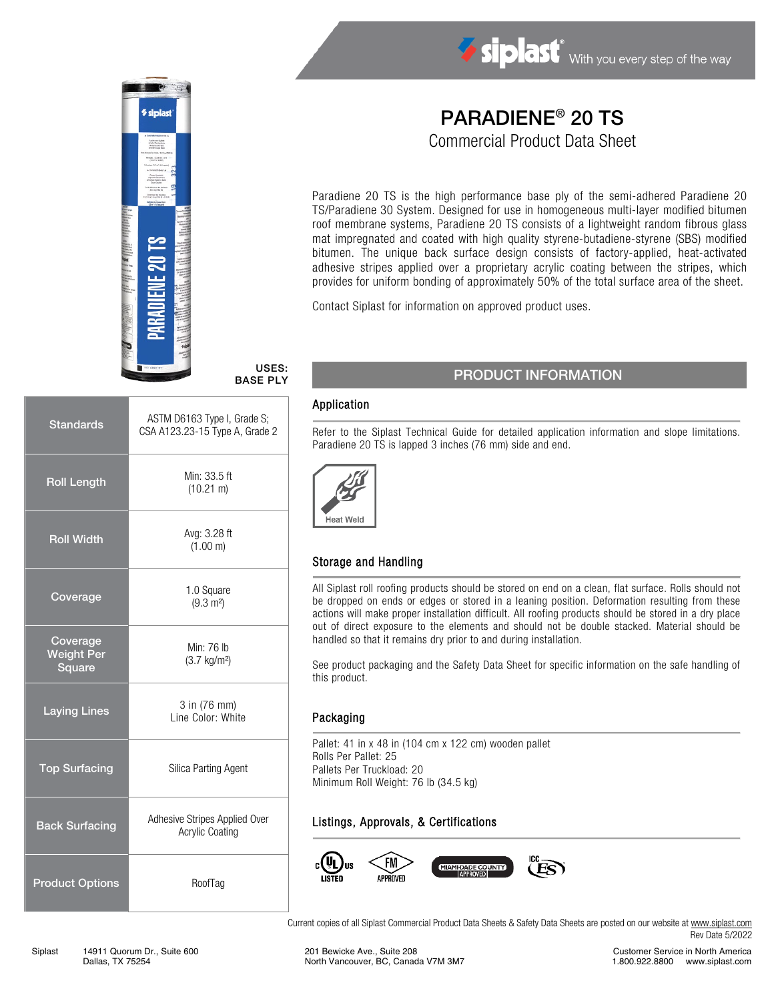

## Siplast With you every step of the way

# PARADIENE® 20 TS

Commercial Product Data Sheet

Paradiene 20 TS is the high performance base ply of the semi-adhered Paradiene 20 TS/Paradiene 30 System. Designed for use in homogeneous multi-layer modified bitumen roof membrane systems, Paradiene 20 TS consists of a lightweight random fibrous glass mat impregnated and coated with high quality styrene-butadiene-styrene (SBS) modified bitumen. The unique back surface design consists of factory-applied, heat-activated adhesive stripes applied over a proprietary acrylic coating between the stripes, which provides for uniform bonding of approximately 50% of the total surface area of the sheet.

Contact Siplast for information on approved product uses.

USES: BASE PLY

| <b>Standards</b>                               | ASTM D6163 Type I, Grade S;<br>CSA A123.23-15 Type A, Grade 2 |
|------------------------------------------------|---------------------------------------------------------------|
| <b>Roll Length</b>                             | Min: 33.5 ft<br>$(10.21 \text{ m})$                           |
| <b>Roll Width</b>                              | Avg: 3.28 ft<br>(1.00 m)                                      |
| Coverage                                       | 1.0 Square<br>$(9.3 \text{ m}^2)$                             |
| Coverage<br><b>Weight Per</b><br><b>Square</b> | Min: 76 lb<br>$(3.7 \text{ kg/m}^2)$                          |
| <b>Laying Lines</b>                            | 3 in (76 mm)<br>Line Color: White                             |
| <b>Top Surfacing</b>                           | Silica Parting Agent                                          |
| <b>Back Surfacing</b>                          | Adhesive Stripes Applied Over<br><b>Acrylic Coating</b>       |
| <b>Product Options</b>                         | RoofTag                                                       |

## PRODUCT INFORMATION

#### Application

Refer to the Siplast Technical Guide for detailed application information and slope limitations. Paradiene 20 TS is lapped 3 inches (76 mm) side and end.



#### Storage and Handling

All Siplast roll roofing products should be stored on end on a clean, flat surface. Rolls should not be dropped on ends or edges or stored in a leaning position. Deformation resulting from these actions will make proper installation difficult. All roofing products should be stored in a dry place out of direct exposure to the elements and should not be double stacked. Material should be handled so that it remains dry prior to and during installation.

See product packaging and the Safety Data Sheet for specific information on the safe handling of this product.

#### Packaging

Pallet: 41 in x 48 in (104 cm x 122 cm) wooden pallet Rolls Per Pallet: 25 Pallets Per Truckload: 20 Minimum Roll Weight: 76 lb (34.5 kg)

#### Listings, Approvals, & Certifications



Current copies of all Siplast Commercial Product Data Sheets & Safety Data Sheets are posted on our website at [www.siplast.com](http://www.siplast.com/) Rev Date 5/2022